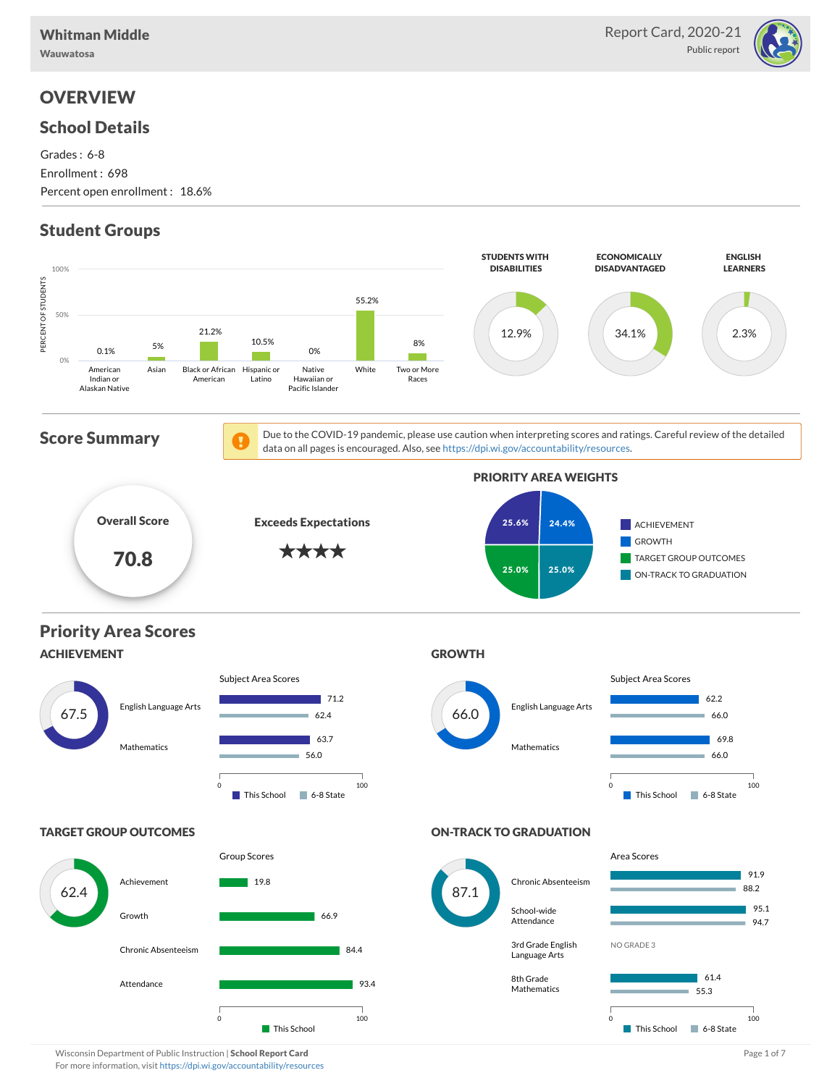Wauwatosa

### School Details

Grades : 6-8 Enrollment : 698 Percent open enrollment : 18.6%

# Student Groups



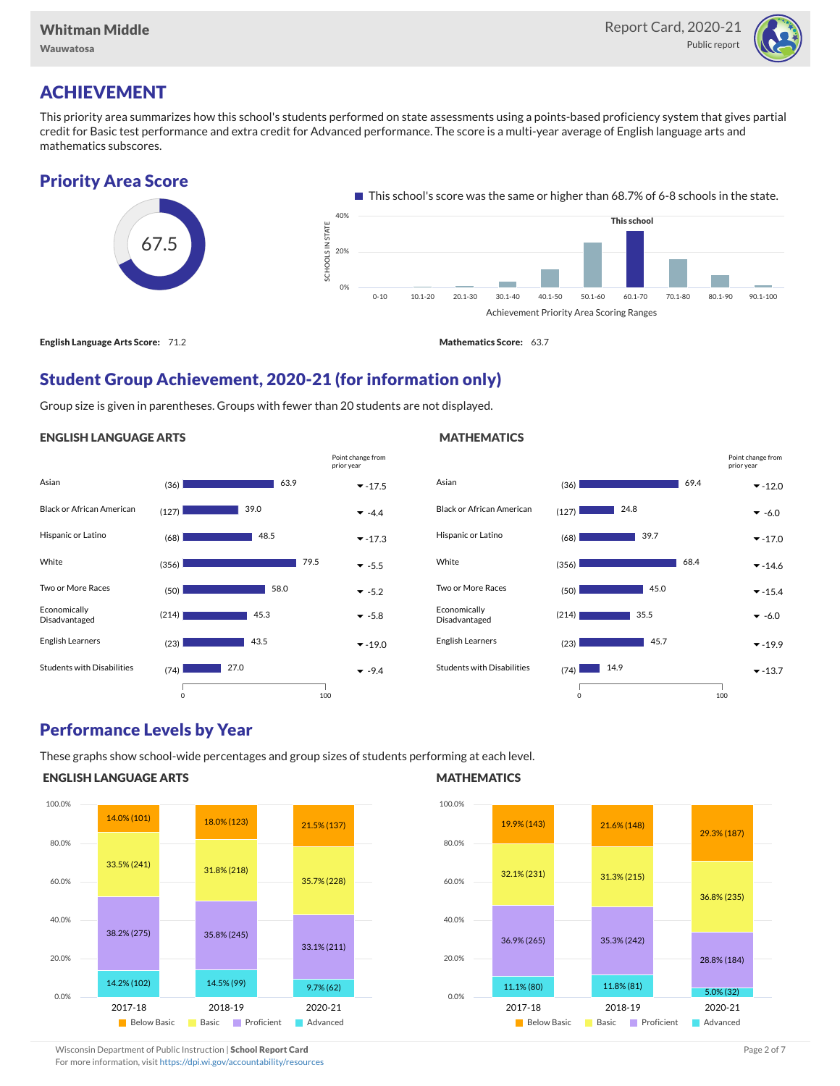

### ACHIEVEMENT

This priority area summarizes how this school's students performed on state assessments using a points-based proficiency system that gives partial credit for Basic test performance and extra credit for Advanced performance. The score is a multi-year average of English language arts and mathematics subscores.

### Priority Area Score



### Student Group Achievement, 2020-21 (for information only)

Group size is given in parentheses. Groups with fewer than 20 students are not displayed.

#### ENGLISH LANGUAGE ARTS



#### Asian (36) -12.0 Black or African American  $(127)$  **24.8**  $\rightarrow$  -6.0 Hispanic or Latino  $(68)$   $39.7$   $\times$  -17.0 White  $(356)$   $(356)$   $(356)$   $(350)$   $(350)$   $(350)$   $(350)$   $(350)$   $(350)$   $(350)$   $(350)$   $(350)$   $(350)$   $(350)$   $(350)$   $(350)$   $(350)$   $(350)$   $(350)$   $(350)$   $(350)$   $(350)$   $(350)$   $(350)$   $(350)$   $(350)$   $(350)$ Two or More Races  $(50)$  **-15.4**  $\bullet$  -15.4 Economically Disadvantaged  $(214)$  35.5  $\times$  -6.0 English Learners  $(23)$   $45.7$   $\times$ -19.9 Students with Disabilities  $(74)$   $\blacksquare$  14.9 69.4  $124.8$ 39.7 68.4 45.0 45.7 0 100 Point change from prior year

### Performance Levels by Year

These graphs show school-wide percentages and group sizes of students performing at each level.

### ENGLISH LANGUAGE ARTS



### **MATHEMATICS**

**MATHEMATICS** 



Wisconsin Department of Public Instruction | School Report Card Page 2 of 7 and 2008 and 2009 and 2 of 7 and 2 of 7

For more information, visit <https://dpi.wi.gov/accountability/resources>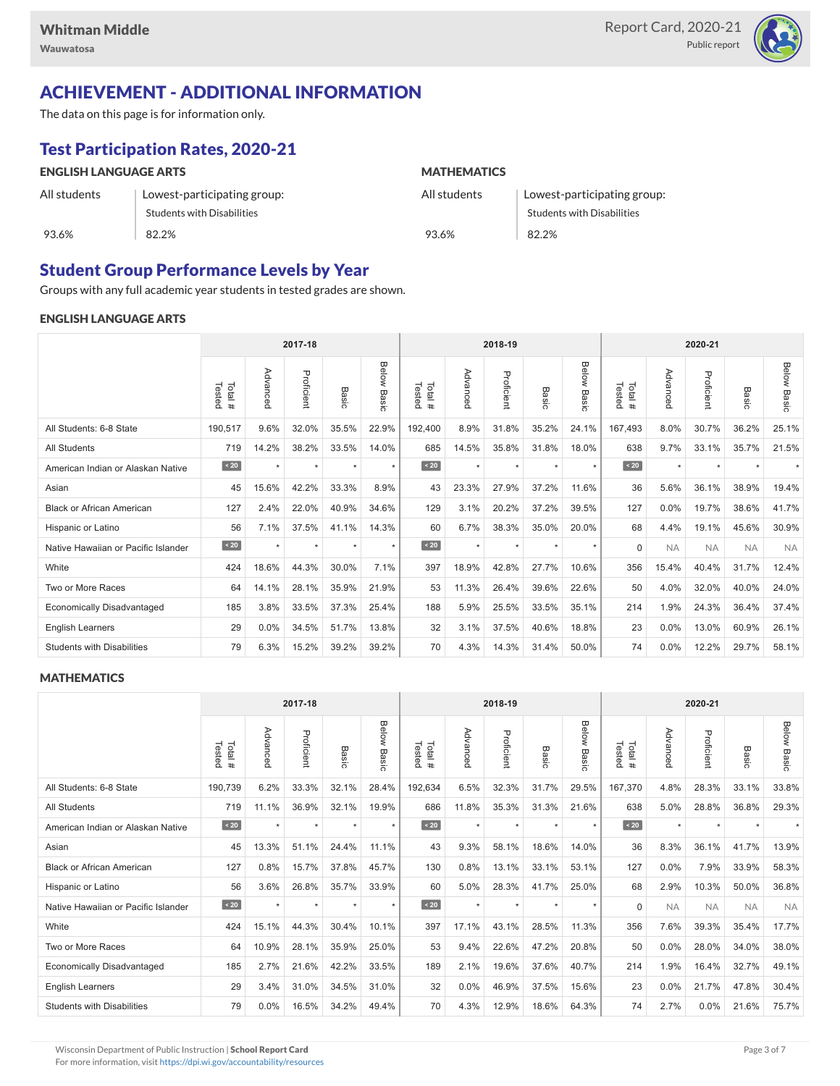

# ACHIEVEMENT - ADDITIONAL INFORMATION

The data on this page is for information only.

# Test Participation Rates, 2020-21

| <b>ENGLISH LANGUAGE ARTS</b> |                             | <b>MATHEMATICS</b> |                                   |  |  |  |  |  |
|------------------------------|-----------------------------|--------------------|-----------------------------------|--|--|--|--|--|
| All students                 | Lowest-participating group: | All students       | Lowest-participating group:       |  |  |  |  |  |
|                              | Students with Disabilities  |                    | <b>Students with Disabilities</b> |  |  |  |  |  |
| 93.6%                        | 82.2%                       | 93.6%              | 82.2%                             |  |  |  |  |  |

### Student Group Performance Levels by Year

Groups with any full academic year students in tested grades are shown.

### ENGLISH LANGUAGE ARTS

|                                     | 2017-18          |          |            |         |                       | 2018-19          |          |            |         | 2020-21        |                  |           |            |           |                |
|-------------------------------------|------------------|----------|------------|---------|-----------------------|------------------|----------|------------|---------|----------------|------------------|-----------|------------|-----------|----------------|
|                                     | Tested<br>Total# | Advanced | Proficient | Basic   | Below<br><b>Basic</b> | Tested<br>Total# | Advancec | Proficient | Basic   | Below<br>Basic | Tested<br>Total# | Advancec  | Proficient | Basic     | Below<br>Basic |
| All Students: 6-8 State             | 190,517          | 9.6%     | 32.0%      | 35.5%   | 22.9%                 | 192,400          | 8.9%     | 31.8%      | 35.2%   | 24.1%          | 167,493          | 8.0%      | 30.7%      | 36.2%     | 25.1%          |
| <b>All Students</b>                 | 719              | 14.2%    | 38.2%      | 33.5%   | 14.0%                 | 685              | 14.5%    | 35.8%      | 31.8%   | 18.0%          | 638              | 9.7%      | 33.1%      | 35.7%     | 21.5%          |
| American Indian or Alaskan Native   | $\angle 20$      | $\star$  | $\star$    | ٠       | $\star$               | $\sim 20$        | $\star$  | $\star$    | $\star$ | $\star$        | $\sim 20$        | $\star$   | $\star$    | $\ddot{}$ |                |
| Asian                               | 45               | 15.6%    | 42.2%      | 33.3%   | 8.9%                  | 43               | 23.3%    | 27.9%      | 37.2%   | 11.6%          | 36               | 5.6%      | 36.1%      | 38.9%     | 19.4%          |
| <b>Black or African American</b>    | 127              | 2.4%     | 22.0%      | 40.9%   | 34.6%                 | 129              | 3.1%     | 20.2%      | 37.2%   | 39.5%          | 127              | 0.0%      | 19.7%      | 38.6%     | 41.7%          |
| Hispanic or Latino                  | 56               | 7.1%     | 37.5%      | 41.1%   | 14.3%                 | 60               | 6.7%     | 38.3%      | 35.0%   | 20.0%          | 68               | 4.4%      | 19.1%      | 45.6%     | 30.9%          |
| Native Hawaiian or Pacific Islander | $\sim 20$        |          | $\star$    | $\star$ | $\star$               | $\sim 20$        | $\star$  | $\star$    |         | $\star$        | $\Omega$         | <b>NA</b> | <b>NA</b>  | <b>NA</b> | <b>NA</b>      |
| White                               | 424              | 18.6%    | 44.3%      | 30.0%   | 7.1%                  | 397              | 18.9%    | 42.8%      | 27.7%   | 10.6%          | 356              | 15.4%     | 40.4%      | 31.7%     | 12.4%          |
| Two or More Races                   | 64               | 14.1%    | 28.1%      | 35.9%   | 21.9%                 | 53               | 11.3%    | 26.4%      | 39.6%   | 22.6%          | 50               | 4.0%      | 32.0%      | 40.0%     | 24.0%          |
| <b>Economically Disadvantaged</b>   | 185              | 3.8%     | 33.5%      | 37.3%   | 25.4%                 | 188              | 5.9%     | 25.5%      | 33.5%   | 35.1%          | 214              | 1.9%      | 24.3%      | 36.4%     | 37.4%          |
| <b>English Learners</b>             | 29               | $0.0\%$  | 34.5%      | 51.7%   | 13.8%                 | 32               | 3.1%     | 37.5%      | 40.6%   | 18.8%          | 23               | 0.0%      | 13.0%      | 60.9%     | 26.1%          |
| <b>Students with Disabilities</b>   | 79               | 6.3%     | 15.2%      | 39.2%   | 39.2%                 | 70               | 4.3%     | 14.3%      | 31.4%   | 50.0%          | 74               | 0.0%      | 12.2%      | 29.7%     | 58.1%          |

#### **MATHEMATICS**

|                                     | 2017-18           |          |            |         |                |                   | 2018-19  |            |            |                | 2020-21          |           |            |           |                    |
|-------------------------------------|-------------------|----------|------------|---------|----------------|-------------------|----------|------------|------------|----------------|------------------|-----------|------------|-----------|--------------------|
|                                     | Tested<br>Total # | Advanced | Proficient | Basic   | Below<br>Basic | Total #<br>Tested | Advanced | Proficient | Bas<br>ਨੋਂ | Below<br>Basic | Tested<br>Total# | Advanced  | Proficient | Basic     | <b>Below Basic</b> |
| All Students: 6-8 State             | 190,739           | 6.2%     | 33.3%      | 32.1%   | 28.4%          | 192,634           | 6.5%     | 32.3%      | 31.7%      | 29.5%          | 167,370          | 4.8%      | 28.3%      | 33.1%     | 33.8%              |
| <b>All Students</b>                 | 719               | 11.1%    | 36.9%      | 32.1%   | 19.9%          | 686               | 11.8%    | 35.3%      | 31.3%      | 21.6%          | 638              | 5.0%      | 28.8%      | 36.8%     | 29.3%              |
| American Indian or Alaskan Native   | $\angle 20$       | $\star$  | $\star$    | $\star$ | $\star$        | $\sim 20$         | $\star$  | $\star$    | $\star$    | $\star$        | $\sim 20$        | $\star$   | $\star$    |           |                    |
| Asian                               | 45                | 13.3%    | 51.1%      | 24.4%   | 11.1%          | 43                | 9.3%     | 58.1%      | 18.6%      | 14.0%          | 36               | 8.3%      | 36.1%      | 41.7%     | 13.9%              |
| <b>Black or African American</b>    | 127               | 0.8%     | 15.7%      | 37.8%   | 45.7%          | 130               | 0.8%     | 13.1%      | 33.1%      | 53.1%          | 127              | 0.0%      | 7.9%       | 33.9%     | 58.3%              |
| Hispanic or Latino                  | 56                | 3.6%     | 26.8%      | 35.7%   | 33.9%          | 60                | 5.0%     | 28.3%      | 41.7%      | 25.0%          | 68               | 2.9%      | 10.3%      | 50.0%     | 36.8%              |
| Native Hawaiian or Pacific Islander | $\angle 20$       | $\star$  | $\star$    | $\star$ | $\star$        | $\vert$ < 20      | $\star$  | $\star$    | $\star$    | $\star$        | $\Omega$         | <b>NA</b> | <b>NA</b>  | <b>NA</b> | <b>NA</b>          |
| White                               | 424               | 15.1%    | 44.3%      | 30.4%   | 10.1%          | 397               | 17.1%    | 43.1%      | 28.5%      | 11.3%          | 356              | 7.6%      | 39.3%      | 35.4%     | 17.7%              |
| Two or More Races                   | 64                | 10.9%    | 28.1%      | 35.9%   | 25.0%          | 53                | 9.4%     | 22.6%      | 47.2%      | 20.8%          | 50               | 0.0%      | 28.0%      | 34.0%     | 38.0%              |
| <b>Economically Disadvantaged</b>   | 185               | 2.7%     | 21.6%      | 42.2%   | 33.5%          | 189               | 2.1%     | 19.6%      | 37.6%      | 40.7%          | 214              | 1.9%      | 16.4%      | 32.7%     | 49.1%              |
| English Learners                    | 29                | 3.4%     | 31.0%      | 34.5%   | 31.0%          | 32                | 0.0%     | 46.9%      | 37.5%      | 15.6%          | 23               | 0.0%      | 21.7%      | 47.8%     | 30.4%              |
| <b>Students with Disabilities</b>   | 79                | 0.0%     | 16.5%      | 34.2%   | 49.4%          | 70                | 4.3%     | 12.9%      | 18.6%      | 64.3%          | 74               | 2.7%      | $0.0\%$    | 21.6%     | 75.7%              |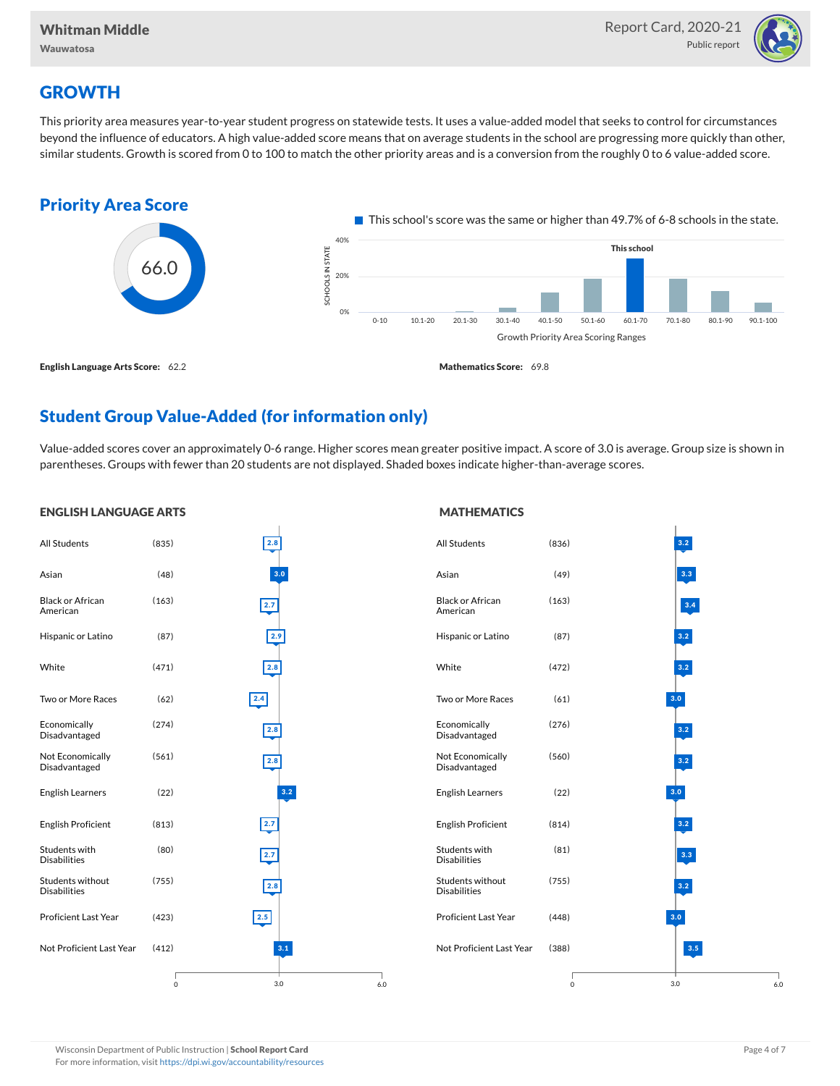

# **GROWTH**

This priority area measures year-to-year student progress on statewide tests. It uses a value-added model that seeks to control for circumstances beyond the influence of educators. A high value-added score means that on average students in the school are progressing more quickly than other, similar students. Growth is scored from 0 to 100 to match the other priority areas and is a conversion from the roughly 0 to 6 value-added score.



# Student Group Value-Added (for information only)

Value-added scores cover an approximately 0-6 range. Higher scores mean greater positive impact. A score of 3.0 is average. Group size is shown in parentheses. Groups with fewer than 20 students are not displayed. Shaded boxes indicate higher-than-average scores.

#### ENGLISH LANGUAGE ARTS All Students (835) Asian (48) Black or African American (163) Hispanic or Latino (87) White (471) Two or More Races (62) Economically Disadvantaged (274) Not Economically Disadvantaged (561) English Learners (22) English Proficient (813) Students with Disabilities (80) Students without Disabilities (755) Proficient Last Year (423) Not Proficient Last Year (412) 3.0 2.8 3.0 2.7 2.9  $\frac{1}{2.8}$  $\boxed{2.4}$ 2.8 2.8 3.2 2.7 2.7 2.8  $2.5$ 0 6.0 **MATHEMATICS** All Students (836) Asian (49) Black or African American (163) Hispanic or Latino (87) White (472) Two or More Races (61) Economically Disadvantaged (276) Not Economically Disadvantaged (560) English Learners (22) English Proficient (814) Students with Disabilities (81) Students without Disabilities (755) Proficient Last Year (448) Not Proficient Last Year (388) 3.0 3.2 3.3 3.4 3.2 3.2 3.0 3.2 3.2 3.0 3.2 3.3 3.2 3.0 3.5 0 6.0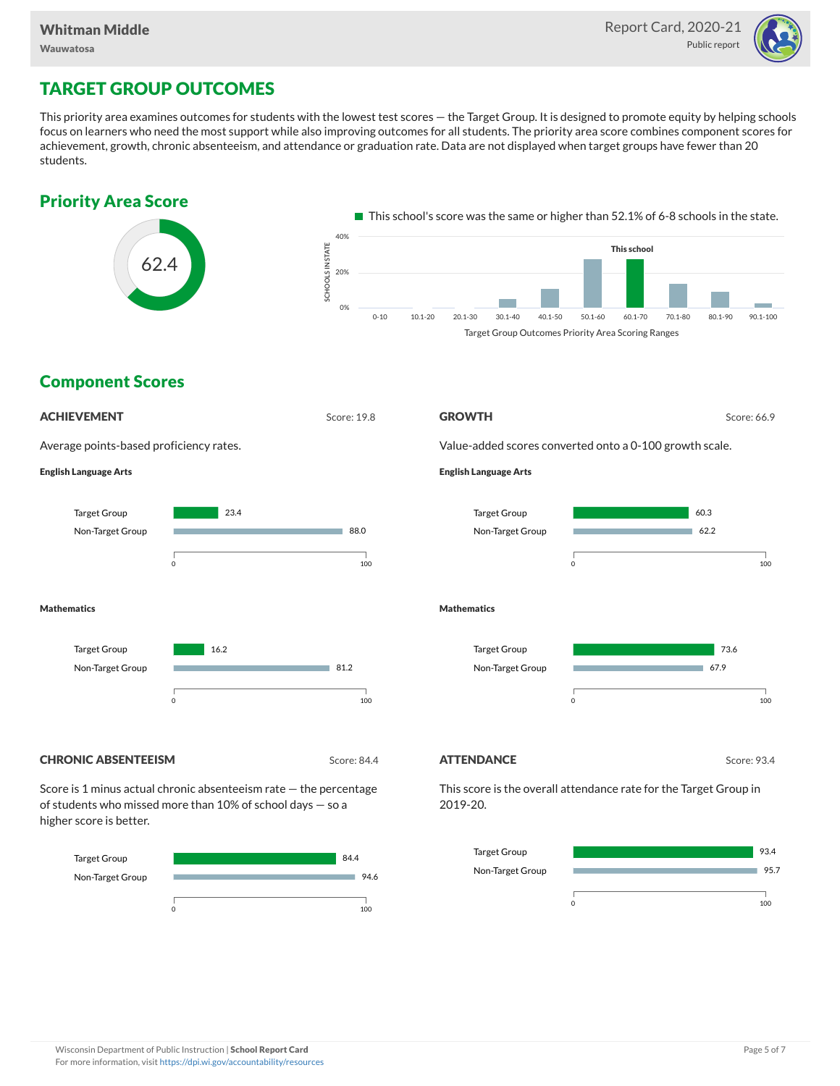

# TARGET GROUP OUTCOMES

This priority area examines outcomes for students with the lowest test scores — the Target Group. It is designed to promote equity by helping schools focus on learners who need the most support while also improving outcomes for all students. The priority area score combines component scores for achievement, growth, chronic absenteeism, and attendance or graduation rate. Data are not displayed when target groups have fewer than 20 students.





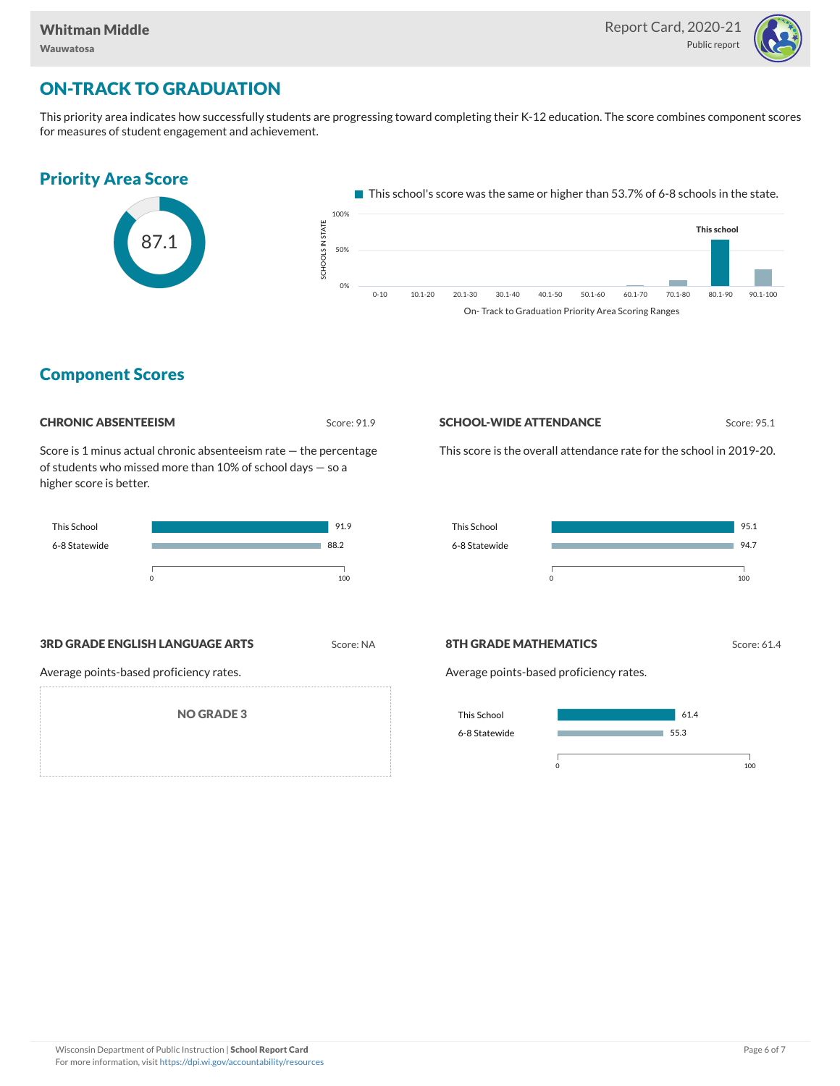

# ON-TRACK TO GRADUATION

This priority area indicates how successfully students are progressing toward completing their K-12 education. The score combines component scores for measures of student engagement and achievement.



### Component Scores